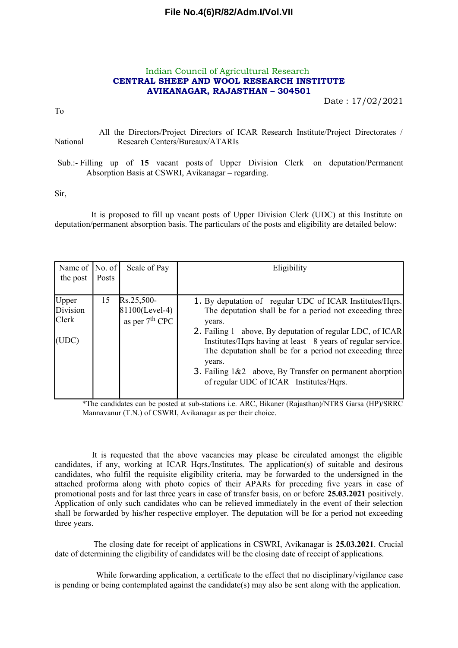# **File No.4(6)R/82/Adm.I/Vol.VII**

### Indian Council of Agricultural Research **CENTRAL SHEEP AND WOOL RESEARCH INSTITUTE AVIKANAGAR, RAJASTHAN – 304501**

Date : 17/02/2021

To

All the Directors/Project Directors of ICAR Research Institute/Project Directorates / National Research Centers/Bureaux/ATARIs

Sub.:- Filling up of **15** vacant posts of Upper Division Clerk on deputation/Permanent Absorption Basis at CSWRI, Avikanagar – regarding.

Sir,

It is proposed to fill up vacant posts of Upper Division Clerk (UDC) at this Institute on deputation/permanent absorption basis. The particulars of the posts and eligibility are detailed below:

| Name of $ No. of $<br>the post             | Posts | Scale of Pay                                     | Eligibility                                                                                                                                                                                                                                                                                                                                                                                                                             |
|--------------------------------------------|-------|--------------------------------------------------|-----------------------------------------------------------------------------------------------------------------------------------------------------------------------------------------------------------------------------------------------------------------------------------------------------------------------------------------------------------------------------------------------------------------------------------------|
| Upper<br>Division<br><b>Clerk</b><br>(UDC) | 15    | Rs.25,500-<br>81100(Level-4)<br>as per $7th$ CPC | 1. By deputation of regular UDC of ICAR Institutes/Hqrs.<br>The deputation shall be for a period not exceeding three<br>years.<br>2. Failing 1 above, By deputation of regular LDC, of ICAR<br>Institutes/Hqrs having at least 8 years of regular service.<br>The deputation shall be for a period not exceeding three<br>years.<br>3. Failing 1&2 above, By Transfer on permanent aborption<br>of regular UDC of ICAR Institutes/Hqrs. |

\*The candidates can be posted at sub-stations i.e. ARC, Bikaner (Rajasthan)/NTRS Garsa (HP)/SRRC Mannavanur (T.N.) of CSWRI, Avikanagar as per their choice.

It is requested that the above vacancies may please be circulated amongst the eligible candidates, if any, working at ICAR Hqrs./Institutes. The application(s) of suitable and desirous candidates, who fulfil the requisite eligibility criteria, may be forwarded to the undersigned in the attached proforma along with photo copies of their APARs for preceding five years in case of promotional posts and for last three years in case of transfer basis, on or before **25.03.2021** positively. Application of only such candidates who can be relieved immediately in the event of their selection shall be forwarded by his/her respective employer. The deputation will be for a period not exceeding three years.

The closing date for receipt of applications in CSWRI, Avikanagar is **25.03.2021**. Crucial date of determining the eligibility of candidates will be the closing date of receipt of applications.

While forwarding application, a certificate to the effect that no disciplinary/vigilance case is pending or being contemplated against the candidate(s) may also be sent along with the application.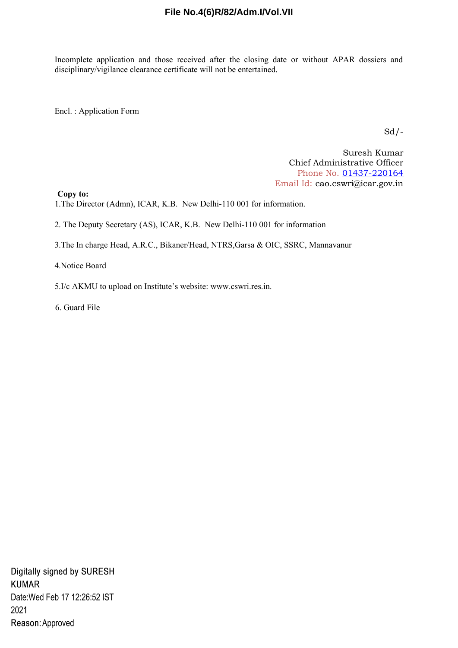# **File No.4(6)R/82/Adm.I/Vol.VII**

Incomplete application and those received after the closing date or without APAR dossiers and disciplinary/vigilance clearance certificate will not be entertained.

Encl. : Application Form

 $Sd$  /-

Suresh Kumar Chief Administrative Officer Phone No. 01437-220164 Email Id: cao.cswri@icar.gov.in

**Copy to:** 

1.The Director (Admn), ICAR, K.B. New Delhi-110 001 for information.

2. The Deputy Secretary (AS), ICAR, K.B. New Delhi-110 001 for information

3.The In charge Head, A.R.C., Bikaner/Head, NTRS,Garsa & OIC, SSRC, Mannavanur

4.Notice Board

5.I/c AKMU to upload on Institute's website: www.cswri.res.in.

6. Guard File

Digitally signed by SURESH **KUMAR** Date: Wed Feb 17 12:26:52 IST 2021 Reason: Approved